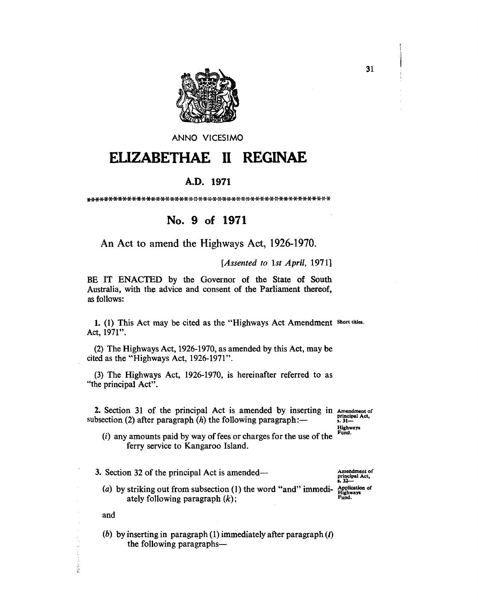

ANNO VICESIMO

## **ELIZABETHAE REGINAE** H

## A.D. 1971

## No. 9 of 1971

An Act to amend the Highways Act, 1926-1970.

[Assented to 1st April, 1971]

BE IT ENACTED by the Governor of the State of South Australia, with the advice and consent of the Parliament thereof, as follows:

1. (1) This Act may be cited as the "Highways Act Amendment Short titles. Act, 1971".

(2) The Highways Act, 1926-1970, as amended by this Act, may be cited as the "Highways Act, 1926-1971".

(3) The Highways Act, 1926-1970, is hereinafter referred to as "the principal Act".

2. Section 31 of the principal Act is amended by inserting in Amendment of principal Act, subsection (2) after paragraph  $(h)$  the following paragraph:—

Highways Fund.

 $(i)$  any amounts paid by way of fees or charges for the use of the ferry service to Kangaroo Island.

3. Section 32 of the principal Act is amended—

Amendment of principal Act,<br>s. 32-

(a) by striking out from subsection (1) the word "and" immedi- Application of<br>ately following paragraph  $(k)$ : ately following paragraph  $(k)$ ;

and

ふしき 落ち

(b) by inserting in paragraph (1) immediately after paragraph  $(l)$ the following paragraphs